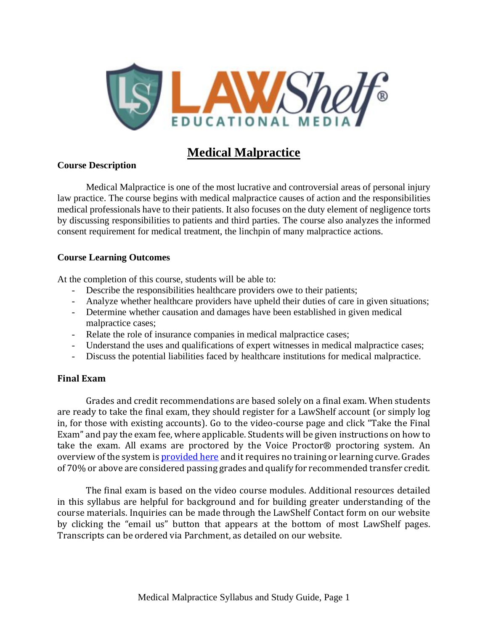

# **Medical Malpractice**

### **Course Description**

Medical Malpractice is one of the most lucrative and controversial areas of personal injury law practice. The course begins with medical malpractice causes of action and the responsibilities medical professionals have to their patients. It also focuses on the duty element of negligence torts by discussing responsibilities to patients and third parties. The course also analyzes the informed consent requirement for medical treatment, the linchpin of many malpractice actions.

### **Course Learning Outcomes**

At the completion of this course, students will be able to:

- Describe the responsibilities healthcare providers owe to their patients;
- Analyze whether healthcare providers have upheld their duties of care in given situations;
- Determine whether causation and damages have been established in given medical malpractice cases;
- Relate the role of insurance companies in medical malpractice cases;
- Understand the uses and qualifications of expert witnesses in medical malpractice cases;
- Discuss the potential liabilities faced by healthcare institutions for medical malpractice.

### **Final Exam**

Grades and credit recommendations are based solely on a final exam. When students are ready to take the final exam, they should register for a LawShelf account (or simply log in, for those with existing accounts). Go to the video-course page and click "Take the Final Exam" and pay the exam fee, where applicable. Students will be given instructions on how to take the exam. All exams are proctored by the Voice Proctor® proctoring system. An overview of the system is [provided](https://lawshelf.com/voiceproctorvideo) here and it requires no training or learning curve. Grades of 70% or above are considered passing grades and qualify for recommended transfer credit.

The final exam is based on the video course modules. Additional resources detailed in this syllabus are helpful for background and for building greater understanding of the course materials. Inquiries can be made through the LawShelf Contact form on our website by clicking the "email us" button that appears at the bottom of most LawShelf pages. Transcripts can be ordered via Parchment, as detailed on our website.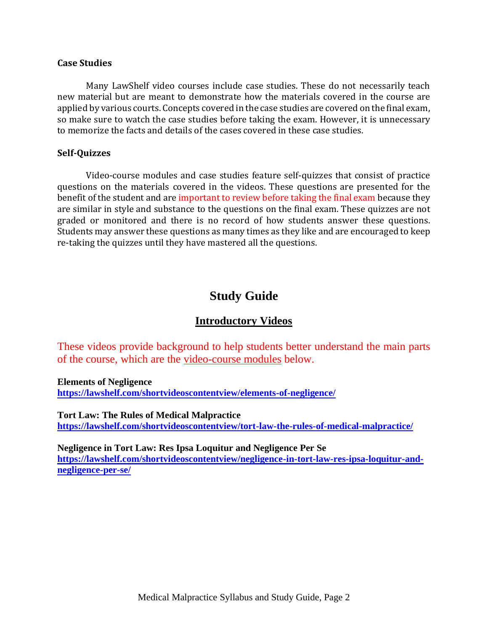#### **Case Studies**

Many LawShelf video courses include case studies. These do not necessarily teach new material but are meant to demonstrate how the materials covered in the course are applied by various courts. Concepts covered in the case studies are covered on the final exam, so make sure to watch the case studies before taking the exam. However, it is unnecessary to memorize the facts and details of the cases covered in these case studies.

#### **Self-Quizzes**

Video-course modules and case studies feature self-quizzes that consist of practice questions on the materials covered in the videos. These questions are presented for the benefit of the student and are important to review before taking the final exam because they are similar in style and substance to the questions on the final exam. These quizzes are not graded or monitored and there is no record of how students answer these questions. Students may answer these questions as many times as they like and are encouraged to keep re-taking the quizzes until they have mastered all the questions.

## **Study Guide**

### **Introductory Videos**

These videos provide background to help students better understand the main parts of the course, which are the video-course modules below.

**Elements of Negligence**

**<https://lawshelf.com/shortvideoscontentview/elements-of-negligence/>**

**Tort Law: The Rules of Medical Malpractice <https://lawshelf.com/shortvideoscontentview/tort-law-the-rules-of-medical-malpractice/>**

**Negligence in Tort Law: Res Ipsa Loquitur and Negligence Per Se [https://lawshelf.com/shortvideoscontentview/negligence-in-tort-law-res-ipsa-loquitur-and](https://lawshelf.com/shortvideoscontentview/negligence-in-tort-law-res-ipsa-loquitur-and-negligence-per-se/)[negligence-per-se/](https://lawshelf.com/shortvideoscontentview/negligence-in-tort-law-res-ipsa-loquitur-and-negligence-per-se/)**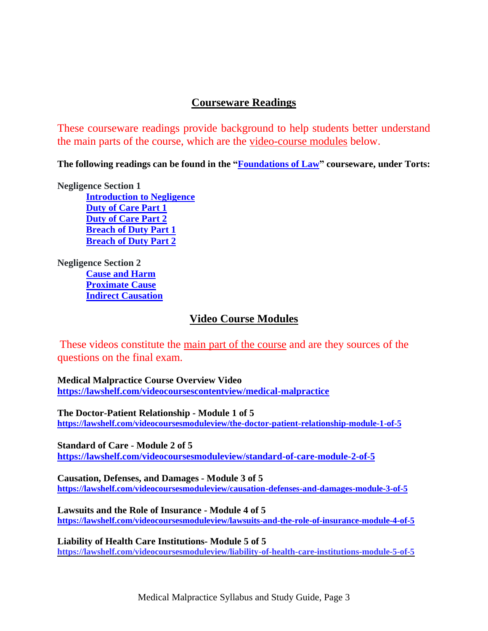### **Courseware Readings**

These courseware readings provide background to help students better understand the main parts of the course, which are the video-course modules below.

**The following readings can be found in the ["Foundations](https://lawshelf.com/coursewareview) of Law" courseware, under Torts:**

**Negligence Section 1**

**[Introduction](https://lawshelf.com/coursewarecontentview/introduction-to-negligence) to Negligence Duty of [Care](https://lawshelf.com/coursewarecontentview/duty-of-care-part-1) Part 1 Duty of [Care](https://lawshelf.com/coursewarecontentview/duty-of-care-part-2) Part 2 [Breach](https://lawshelf.com/coursewarecontentview/breach-of-duty-part-1) of Duty Part 1 [Breach](https://lawshelf.com/coursewarecontentview/breach-of-duty-part-2) of Duty Part 2**

**Negligence Section 2 [Cause](https://lawshelf.com/coursewarecontentview/cause-and-harm) and Harm [Proximate](https://lawshelf.com/coursewarecontentview/proximate-cause) Cause Indirect [Causation](https://lawshelf.com/coursewarecontentview/indirect-causation)**

## **Video Course Modules**

These videos constitute the main part of the course and are they sources of the questions on the final exam.

**Medical Malpractice Course Overview Video <https://lawshelf.com/videocoursescontentview/medical-malpractice>**

**The Doctor-Patient Relationship - Module 1 of 5 <https://lawshelf.com/videocoursesmoduleview/the-doctor-patient-relationship-module-1-of-5>**

**Standard of Care - Module 2 of 5 <https://lawshelf.com/videocoursesmoduleview/standard-of-care-module-2-of-5>**

**Causation, Defenses, and Damages - Module 3 of 5 <https://lawshelf.com/videocoursesmoduleview/causation-defenses-and-damages-module-3-of-5>**

**Lawsuits and the Role of Insurance - Module 4 of 5 <https://lawshelf.com/videocoursesmoduleview/lawsuits-and-the-role-of-insurance-module-4-of-5>**

**Liability of Health Care Institutions- Module 5 of 5 <https://lawshelf.com/videocoursesmoduleview/liability-of-health-care-institutions-module-5-of-5>**